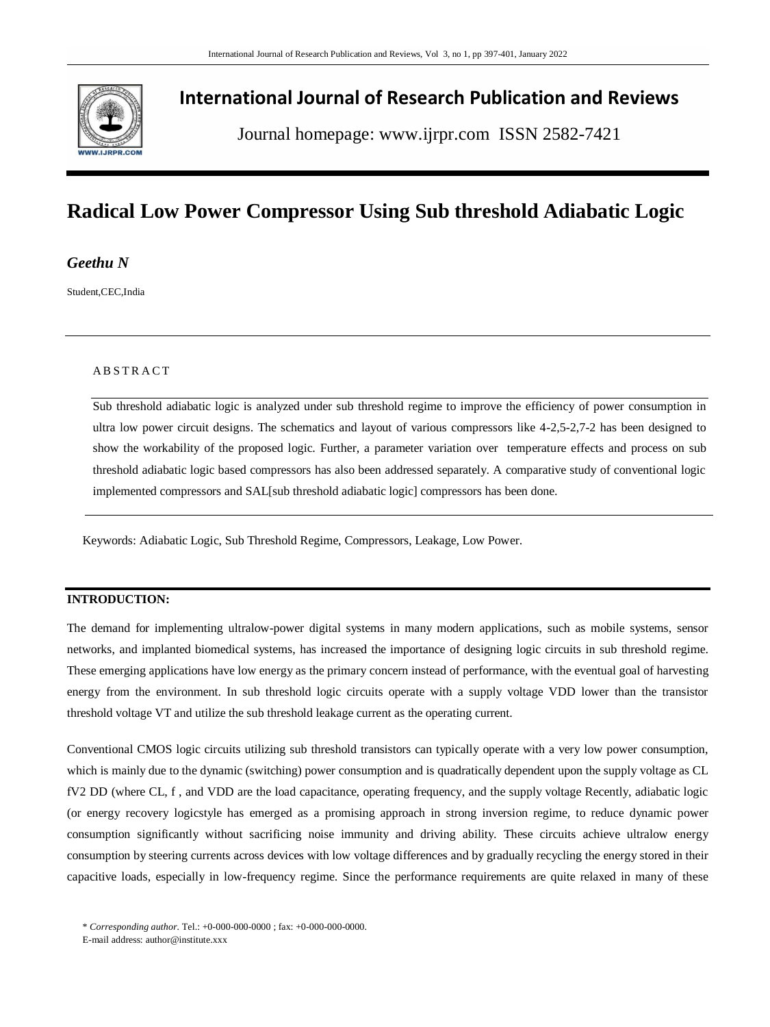

## **International Journal of Research Publication and Reviews**

Journal homepage: www.ijrpr.com ISSN 2582-7421

# **Radical Low Power Compressor Using Sub threshold Adiabatic Logic**

*Geethu N*

Student,CEC,India

### **ABSTRACT**

Sub threshold adiabatic logic is analyzed under sub threshold regime to improve the efficiency of power consumption in ultra low power circuit designs. The schematics and layout of various compressors like 4-2,5-2,7-2 has been designed to show the workability of the proposed logic. Further, a parameter variation over temperature effects and process on sub threshold adiabatic logic based compressors has also been addressed separately. A comparative study of conventional logic implemented compressors and SAL[sub threshold adiabatic logic] compressors has been done.

Keywords: Adiabatic Logic, Sub Threshold Regime, Compressors, Leakage, Low Power.

### **INTRODUCTION:**

The demand for implementing ultralow-power digital systems in many modern applications, such as mobile systems, sensor networks, and implanted biomedical systems, has increased the importance of designing logic circuits in sub threshold regime. These emerging applications have low energy as the primary concern instead of performance, with the eventual goal of harvesting energy from the environment. In sub threshold logic circuits operate with a supply voltage VDD lower than the transistor threshold voltage VT and utilize the sub threshold leakage current as the operating current.

Conventional CMOS logic circuits utilizing sub threshold transistors can typically operate with a very low power consumption, which is mainly due to the dynamic (switching) power consumption and is quadratically dependent upon the supply voltage as CL fV2 DD (where CL, f , and VDD are the load capacitance, operating frequency, and the supply voltage Recently, adiabatic logic (or energy recovery logicstyle has emerged as a promising approach in strong inversion regime, to reduce dynamic power consumption significantly without sacrificing noise immunity and driving ability. These circuits achieve ultralow energy consumption by steering currents across devices with low voltage differences and by gradually recycling the energy stored in their capacitive loads, especially in low-frequency regime. Since the performance requirements are quite relaxed in many of these

<sup>\*</sup> *Corresponding author.* Tel.: +0-000-000-0000 ; fax: +0-000-000-0000.

E-mail address: author@institute.xxx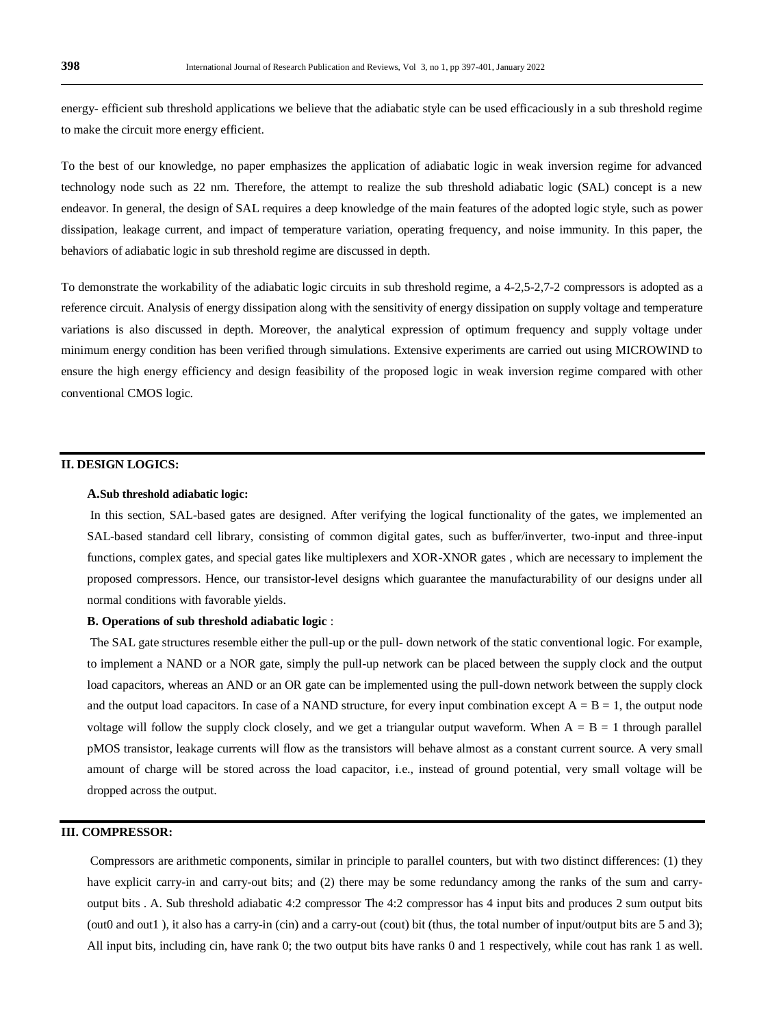energy- efficient sub threshold applications we believe that the adiabatic style can be used efficaciously in a sub threshold regime to make the circuit more energy efficient.

To the best of our knowledge, no paper emphasizes the application of adiabatic logic in weak inversion regime for advanced technology node such as 22 nm. Therefore, the attempt to realize the sub threshold adiabatic logic (SAL) concept is a new endeavor. In general, the design of SAL requires a deep knowledge of the main features of the adopted logic style, such as power dissipation, leakage current, and impact of temperature variation, operating frequency, and noise immunity. In this paper, the behaviors of adiabatic logic in sub threshold regime are discussed in depth.

To demonstrate the workability of the adiabatic logic circuits in sub threshold regime, a 4-2,5-2,7-2 compressors is adopted as a reference circuit. Analysis of energy dissipation along with the sensitivity of energy dissipation on supply voltage and temperature variations is also discussed in depth. Moreover, the analytical expression of optimum frequency and supply voltage under minimum energy condition has been verified through simulations. Extensive experiments are carried out using MICROWIND to ensure the high energy efficiency and design feasibility of the proposed logic in weak inversion regime compared with other conventional CMOS logic.

#### **II. DESIGN LOGICS:**

#### **A.Sub threshold adiabatic logic:**

In this section, SAL-based gates are designed. After verifying the logical functionality of the gates, we implemented an SAL-based standard cell library, consisting of common digital gates, such as buffer/inverter, two-input and three-input functions, complex gates, and special gates like multiplexers and XOR-XNOR gates , which are necessary to implement the proposed compressors. Hence, our transistor-level designs which guarantee the manufacturability of our designs under all normal conditions with favorable yields.

#### **B. Operations of sub threshold adiabatic logic** :

The SAL gate structures resemble either the pull-up or the pull- down network of the static conventional logic. For example, to implement a NAND or a NOR gate, simply the pull-up network can be placed between the supply clock and the output load capacitors, whereas an AND or an OR gate can be implemented using the pull-down network between the supply clock and the output load capacitors. In case of a NAND structure, for every input combination except  $A = B = 1$ , the output node voltage will follow the supply clock closely, and we get a triangular output waveform. When  $A = B = 1$  through parallel pMOS transistor, leakage currents will flow as the transistors will behave almost as a constant current source. A very small amount of charge will be stored across the load capacitor, i.e., instead of ground potential, very small voltage will be dropped across the output.

### **III. COMPRESSOR:**

Compressors are arithmetic components, similar in principle to parallel counters, but with two distinct differences: (1) they have explicit carry-in and carry-out bits; and (2) there may be some redundancy among the ranks of the sum and carryoutput bits . A. Sub threshold adiabatic 4:2 compressor The 4:2 compressor has 4 input bits and produces 2 sum output bits (out0 and out1 ), it also has a carry-in (cin) and a carry-out (cout) bit (thus, the total number of input/output bits are 5 and 3); All input bits, including cin, have rank 0; the two output bits have ranks 0 and 1 respectively, while cout has rank 1 as well.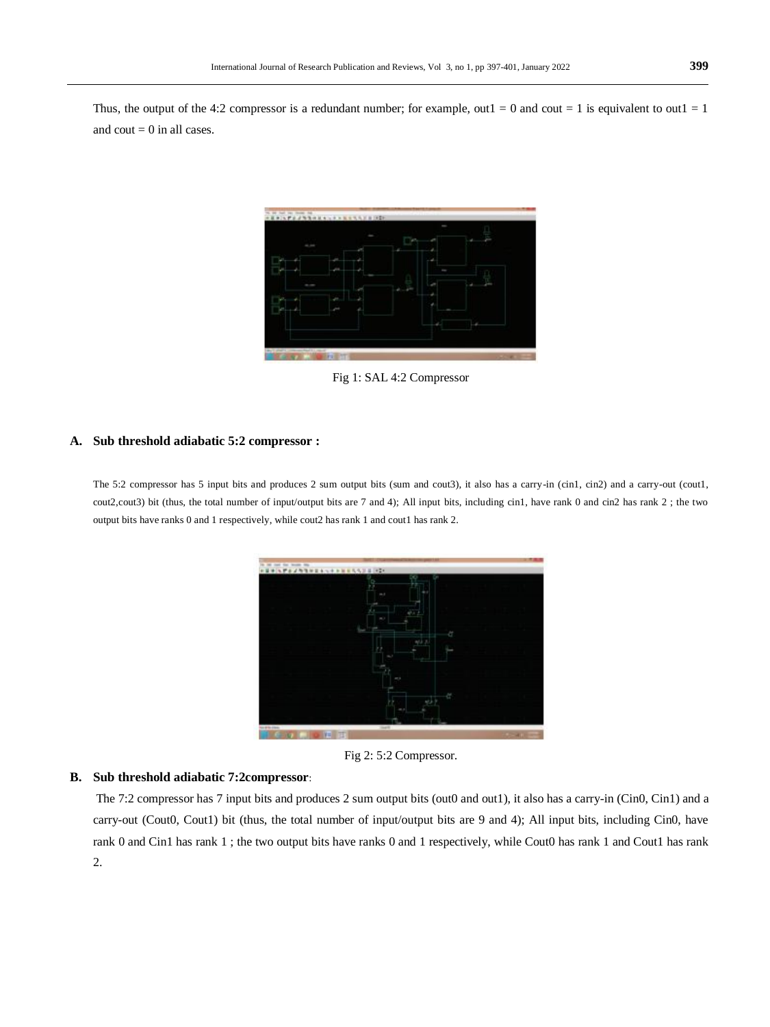Thus, the output of the 4:2 compressor is a redundant number; for example, out  $1 = 0$  and cout  $= 1$  is equivalent to out  $1 = 1$ and cout  $= 0$  in all cases.



Fig 1: SAL 4:2 Compressor

#### **A. Sub threshold adiabatic 5:2 compressor :**

The 5:2 compressor has 5 input bits and produces 2 sum output bits (sum and cout3), it also has a carry-in (cin1, cin2) and a carry-out (cout1, cout2,cout3) bit (thus, the total number of input/output bits are 7 and 4); All input bits, including cin1, have rank 0 and cin2 has rank 2 ; the two output bits have ranks 0 and 1 respectively, while cout2 has rank 1 and cout1 has rank 2.



Fig 2: 5:2 Compressor.

#### **B. Sub threshold adiabatic 7:2compressor**:

The 7:2 compressor has 7 input bits and produces 2 sum output bits (out0 and out1), it also has a carry-in (Cin0, Cin1) and a carry-out (Cout0, Cout1) bit (thus, the total number of input/output bits are 9 and 4); All input bits, including Cin0, have rank 0 and Cin1 has rank 1; the two output bits have ranks 0 and 1 respectively, while Cout0 has rank 1 and Cout1 has rank 2.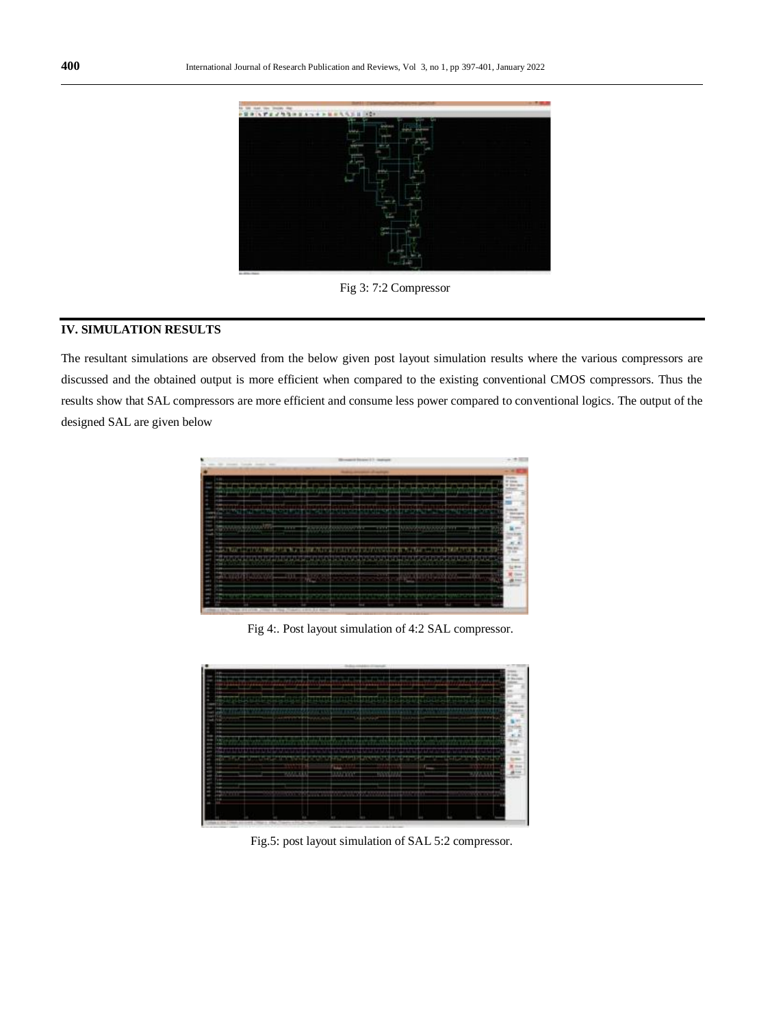

Fig 3: 7:2 Compressor

## **IV. SIMULATION RESULTS**

The resultant simulations are observed from the below given post layout simulation results where the various compressors are discussed and the obtained output is more efficient when compared to the existing conventional CMOS compressors. Thus the results show that SAL compressors are more efficient and consume less power compared to conventional logics. The output of the designed SAL are given below



Fig 4:. Post layout simulation of 4:2 SAL compressor.



Fig.5: post layout simulation of SAL 5:2 compressor.